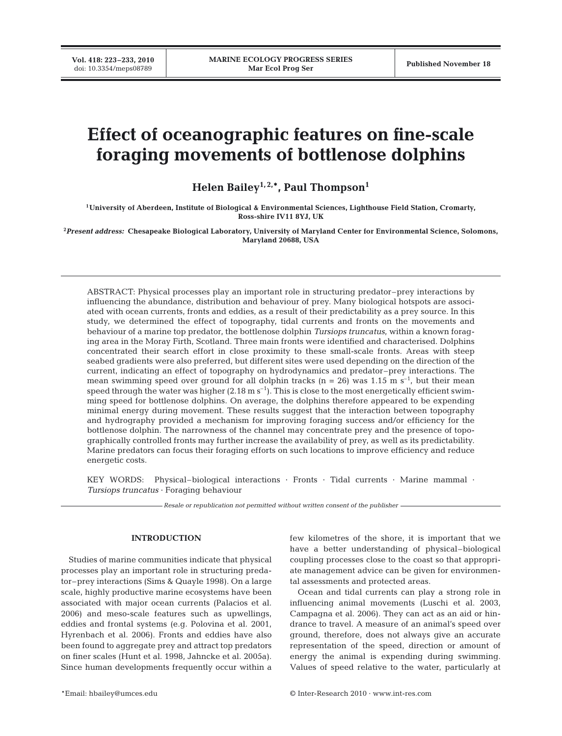**Vol. 418: 223–233, 2010**

# **Effect of oceanographic features on fine-scale foraging movements of bottlenose dolphins**

Helen Bailey<sup>1, 2,\*</sup>, Paul Thompson<sup>1</sup>

**1University of Aberdeen, Institute of Biological & Environmental Sciences, Lighthouse Field Station, Cromarty, Ross-shire IV11 8YJ, UK**

**2** *Present address:* **Chesapeake Biological Laboratory, University of Maryland Center for Environmental Science, Solomons, Maryland 20688, USA**

ABSTRACT: Physical processes play an important role in structuring predator–prey interactions by influencing the abundance, distribution and behaviour of prey. Many biological hotspots are associated with ocean currents, fronts and eddies, as a result of their predictability as a prey source. In this study, we determined the effect of topography, tidal currents and fronts on the movements and behaviour of a marine top predator, the bottlenose dolphin *Tursiops truncatus*, within a known foraging area in the Moray Firth, Scotland. Three main fronts were identified and characterised. Dolphins concentrated their search effort in close proximity to these small-scale fronts. Areas with steep seabed gradients were also preferred, but different sites were used depending on the direction of the current, indicating an effect of topography on hydrodynamics and predator–prey interactions. The mean swimming speed over ground for all dolphin tracks ( $n = 26$ ) was 1.15 m s<sup>-1</sup>, but their mean speed through the water was higher ( $2.18 \text{ m s}^{-1}$ ). This is close to the most energetically efficient swimming speed for bottlenose dolphins. On average, the dolphins therefore appeared to be expending minimal energy during movement. These results suggest that the interaction between topography and hydrography provided a mechanism for improving foraging success and/or efficiency for the bottlenose dolphin. The narrowness of the channel may concentrate prey and the presence of topographically controlled fronts may further increase the availability of prey, as well as its predictability. Marine predators can focus their foraging efforts on such locations to improve efficiency and reduce energetic costs.

KEY WORDS: Physical–biological interactions · Fronts · Tidal currents · Marine mammal · *Tursiops truncatus* · Foraging behaviour

*Resale or republication not permitted without written consent of the publisher*

#### **INTRODUCTION**

Studies of marine communities indicate that physical processes play an important role in structuring predator–prey interactions (Sims & Quayle 1998). On a large scale, highly productive marine ecosystems have been associated with major ocean currents (Palacios et al. 2006) and meso-scale features such as upwellings, eddies and frontal systems (e.g. Polovina et al. 2001, Hyrenbach et al. 2006). Fronts and eddies have also been found to aggregate prey and attract top predators on finer scales (Hunt et al. 1998, Jahncke et al. 2005a). Since human developments frequently occur within a

few kilometres of the shore, it is important that we have a better understanding of physical–biological coupling processes close to the coast so that appropriate management advice can be given for environmental assessments and protected areas.

Ocean and tidal currents can play a strong role in influencing animal movements (Luschi et al. 2003, Campagna et al. 2006). They can act as an aid or hindrance to travel. A measure of an animal's speed over ground, therefore, does not always give an accurate representation of the speed, direction or amount of energy the animal is expending during swimming. Values of speed relative to the water, particularly at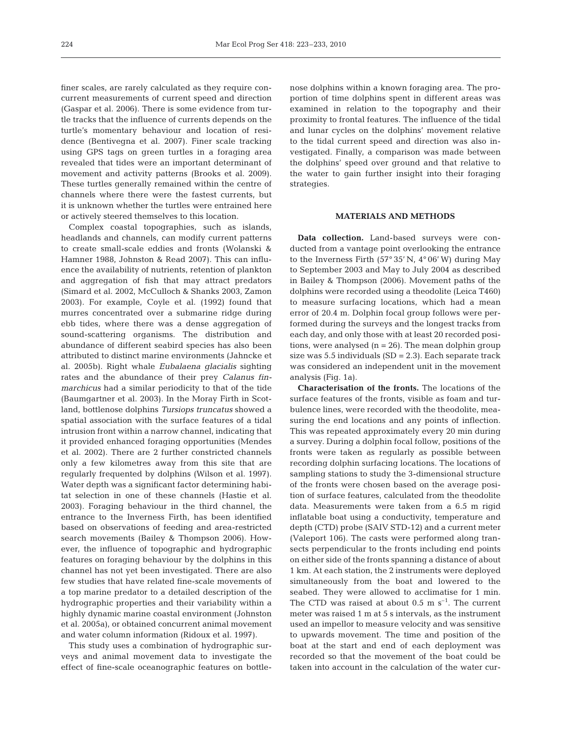finer scales, are rarely calculated as they require concurrent measurements of current speed and direction (Gaspar et al. 2006). There is some evidence from turtle tracks that the influence of currents depends on the turtle's momentary behaviour and location of residence (Bentivegna et al. 2007). Finer scale tracking using GPS tags on green turtles in a foraging area revealed that tides were an important determinant of movement and activity patterns (Brooks et al. 2009). These turtles generally remained within the centre of channels where there were the fastest currents, but it is unknown whether the turtles were entrained here or actively steered themselves to this location.

Complex coastal topographies, such as islands, headlands and channels, can modify current patterns to create small-scale eddies and fronts (Wolanski & Hamner 1988, Johnston & Read 2007). This can influence the availability of nutrients, retention of plankton and aggregation of fish that may attract predators (Simard et al. 2002, McCulloch & Shanks 2003, Zamon 2003). For example, Coyle et al. (1992) found that murres concentrated over a submarine ridge during ebb tides, where there was a dense aggregation of sound-scattering organisms. The distribution and abundance of different seabird species has also been attributed to distinct marine environments (Jahncke et al. 2005b). Right whale *Eubalaena glacialis* sighting rates and the abundance of their prey *Calanus finmarchicus* had a similar periodicity to that of the tide (Baumgartner et al. 2003). In the Moray Firth in Scotland, bottlenose dolphins *Tursiops truncatus* showed a spatial association with the surface features of a tidal intrusion front within a narrow channel, indicating that it provided enhanced foraging opportunities (Mendes et al. 2002). There are 2 further constricted channels only a few kilometres away from this site that are regularly frequented by dolphins (Wilson et al. 1997). Water depth was a significant factor determining habitat selection in one of these channels (Hastie et al. 2003). Foraging behaviour in the third channel, the entrance to the Inverness Firth, has been identified based on observations of feeding and area-restricted search movements (Bailey & Thompson 2006). However, the influence of topographic and hydrographic features on foraging behaviour by the dolphins in this channel has not yet been investigated. There are also few studies that have related fine-scale movements of a top marine predator to a detailed description of the hydrographic properties and their variability within a highly dynamic marine coastal environment (Johnston et al. 2005a), or obtained concurrent animal movement and water column information (Ridoux et al. 1997).

This study uses a combination of hydrographic surveys and animal movement data to investigate the effect of fine-scale oceanographic features on bottlenose dolphins within a known foraging area. The proportion of time dolphins spent in different areas was examined in relation to the topography and their proximity to frontal features. The influence of the tidal and lunar cycles on the dolphins' movement relative to the tidal current speed and direction was also investigated. Finally, a comparison was made between the dolphins' speed over ground and that relative to the water to gain further insight into their foraging strategies.

### **MATERIALS AND METHODS**

**Data collection.** Land-based surveys were conducted from a vantage point overlooking the entrance to the Inverness Firth (57° 35' N, 4° 06' W) during May to September 2003 and May to July 2004 as described in Bailey & Thompson (2006). Movement paths of the dolphins were recorded using a theodolite (Leica T460) to measure surfacing locations, which had a mean error of 20.4 m. Dolphin focal group follows were performed during the surveys and the longest tracks from each day, and only those with at least 20 recorded positions, were analysed  $(n = 26)$ . The mean dolphin group size was  $5.5$  individuals (SD = 2.3). Each separate track was considered an independent unit in the movement analysis (Fig. 1a).

**Characterisation of the fronts.** The locations of the surface features of the fronts, visible as foam and turbulence lines, were recorded with the theodolite, measuring the end locations and any points of inflection. This was repeated approximately every 20 min during a survey. During a dolphin focal follow, positions of the fronts were taken as regularly as possible between recording dolphin surfacing locations. The locations of sampling stations to study the 3-dimensional structure of the fronts were chosen based on the average position of surface features, calculated from the theodolite data. Measurements were taken from a 6.5 m rigid inflatable boat using a conductivity, temperature and depth (CTD) probe (SAIV STD-12) and a current meter (Valeport 106). The casts were performed along transects perpendicular to the fronts including end points on either side of the fronts spanning a distance of about 1 km. At each station, the 2 instruments were deployed simultaneously from the boat and lowered to the seabed. They were allowed to acclimatise for 1 min. The CTD was raised at about  $0.5$  m s<sup>-1</sup>. The current meter was raised 1 m at 5 s intervals, as the instrument used an impellor to measure velocity and was sensitive to upwards movement. The time and position of the boat at the start and end of each deployment was recorded so that the movement of the boat could be taken into account in the calculation of the water cur-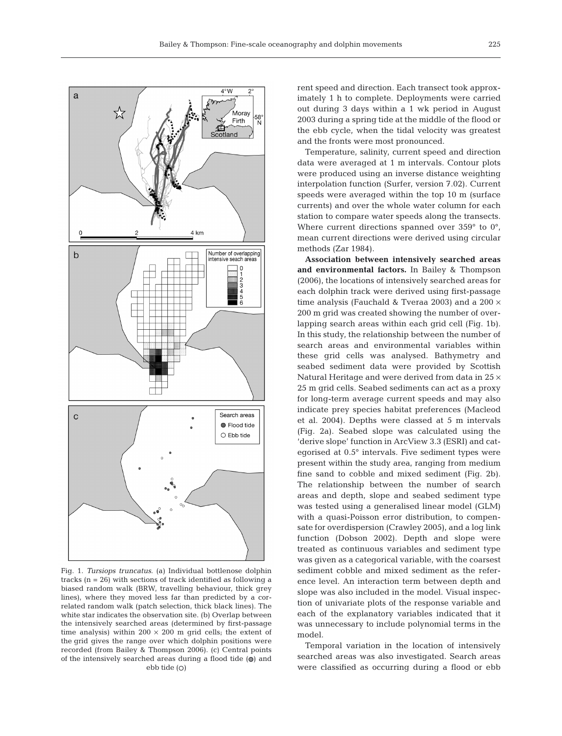

Fig. 1. *Tursiops truncatus*. (a) Individual bottlenose dolphin tracks  $(n = 26)$  with sections of track identified as following a biased random walk (BRW, travelling behaviour, thick grey lines), where they moved less far than predicted by a correlated random walk (patch selection, thick black lines). The white star indicates the observation site. (b) Overlap between the intensively searched areas (determined by first-passage time analysis) within 200  $\times$  200 m grid cells; the extent of the grid gives the range over which dolphin positions were recorded (from Bailey & Thompson 2006). (c) Central points of the intensively searched areas during a flood tide  $\omega$  and  $e$ bb tide  $(0)$ 

rent speed and direction. Each transect took approximately 1 h to complete. Deployments were carried out during 3 days within a 1 wk period in August 2003 during a spring tide at the middle of the flood or the ebb cycle, when the tidal velocity was greatest and the fronts were most pronounced.

Temperature, salinity, current speed and direction data were averaged at 1 m intervals. Contour plots were produced using an inverse distance weighting interpolation function (Surfer, version 7.02). Current speeds were averaged within the top 10 m (surface currents) and over the whole water column for each station to compare water speeds along the transects. Where current directions spanned over 359° to 0°, mean current directions were derived using circular methods (Zar 1984).

**Association between intensively searched areas and environmental factors.** In Bailey & Thompson (2006), the locations of intensively searched areas for each dolphin track were derived using first-passage time analysis (Fauchald & Tveraa 2003) and a 200  $\times$ 200 m grid was created showing the number of overlapping search areas within each grid cell (Fig. 1b). In this study, the relationship between the number of search areas and environmental variables within these grid cells was analysed. Bathymetry and seabed sediment data were provided by Scottish Natural Heritage and were derived from data in  $25 \times$ 25 m grid cells. Seabed sediments can act as a proxy for long-term average current speeds and may also indicate prey species habitat preferences (Macleod et al. 2004). Depths were classed at 5 m intervals (Fig. 2a). Seabed slope was calculated using the 'derive slope' function in ArcView 3.3 (ESRI) and categorised at 0.5° intervals. Five sediment types were present within the study area, ranging from medium fine sand to cobble and mixed sediment (Fig. 2b). The relationship between the number of search areas and depth, slope and seabed sediment type was tested using a generalised linear model (GLM) with a quasi-Poisson error distribution, to compensate for overdispersion (Crawley 2005), and a log link function (Dobson 2002). Depth and slope were treated as continuous variables and sediment type was given as a categorical variable, with the coarsest sediment cobble and mixed sediment as the reference level. An interaction term between depth and slope was also included in the model. Visual inspection of univariate plots of the response variable and each of the explanatory variables indicated that it was unnecessary to include polynomial terms in the model.

Temporal variation in the location of intensively searched areas was also investigated. Search areas were classified as occurring during a flood or ebb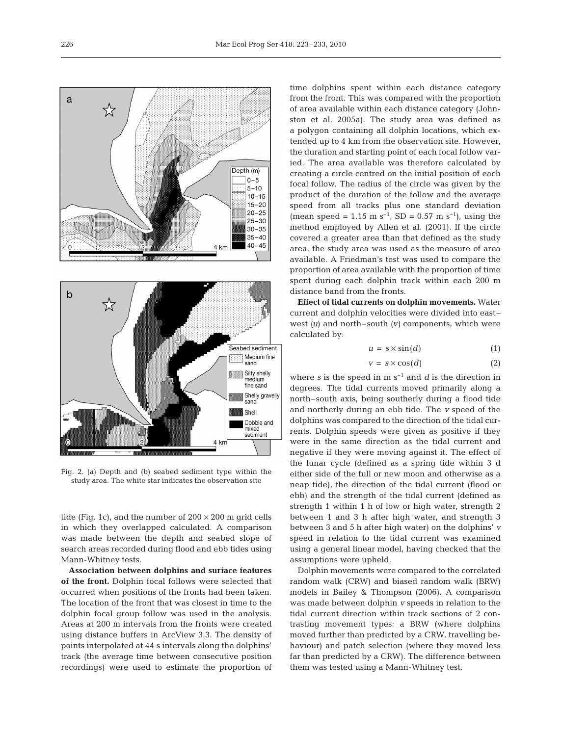



Fig. 2. (a) Depth and (b) seabed sediment type within the study area. The white star indicates the observation site

tide (Fig. 1c), and the number of  $200 \times 200$  m grid cells in which they overlapped calculated. A comparison was made between the depth and seabed slope of search areas recorded during flood and ebb tides using Mann-Whitney tests.

**Association between dolphins and surface features of the front.** Dolphin focal follows were selected that occurred when positions of the fronts had been taken. The location of the front that was closest in time to the dolphin focal group follow was used in the analysis. Areas at 200 m intervals from the fronts were created using distance buffers in ArcView 3.3. The density of points interpolated at 44 s intervals along the dolphins' track (the average time between consecutive position recordings) were used to estimate the proportion of

time dolphins spent within each distance category from the front. This was compared with the proportion of area available within each distance category (Johnston et al. 2005a). The study area was defined as a polygon containing all dolphin locations, which extended up to 4 km from the observation site. However, the duration and starting point of each focal follow varied. The area available was therefore calculated by creating a circle centred on the initial position of each focal follow. The radius of the circle was given by the product of the duration of the follow and the average speed from all tracks plus one standard deviation (mean speed = 1.15 m s<sup>-1</sup>, SD = 0.57 m s<sup>-1</sup>), using the method employed by Allen et al. (2001). If the circle covered a greater area than that defined as the study area, the study area was used as the measure of area available. A Friedman's test was used to compare the proportion of area available with the proportion of time spent during each dolphin track within each 200 m distance band from the fronts.

**Effect of tidal currents on dolphin movements.** Water current and dolphin velocities were divided into east– west *(u*) and north–south *(v)* components, which were calculated by:

$$
u = s \times \sin(d) \tag{1}
$$

$$
v = s \times \cos(d) \tag{2}
$$

where  $s$  is the speed in m  $s^{-1}$  and  $d$  is the direction in degrees. The tidal currents moved primarily along a north–south axis, being southerly during a flood tide and northerly during an ebb tide. The *v* speed of the dolphins was compared to the direction of the tidal currents. Dolphin speeds were given as positive if they were in the same direction as the tidal current and negative if they were moving against it. The effect of the lunar cycle (defined as a spring tide within 3 d either side of the full or new moon and otherwise as a neap tide), the direction of the tidal current (flood or ebb) and the strength of the tidal current (defined as strength 1 within 1 h of low or high water, strength 2 between 1 and 3 h after high water, and strength 3 between 3 and 5 h after high water) on the dolphins' *v* speed in relation to the tidal current was examined using a general linear model, having checked that the assumptions were upheld.

Dolphin movements were compared to the correlated random walk (CRW) and biased random walk (BRW) models in Bailey & Thompson (2006). A comparison was made between dolphin *v* speeds in relation to the tidal current direction within track sections of 2 contrasting movement types: a BRW (where dolphins moved further than predicted by a CRW, travelling behaviour) and patch selection (where they moved less far than predicted by a CRW). The difference between them was tested using a Mann-Whitney test.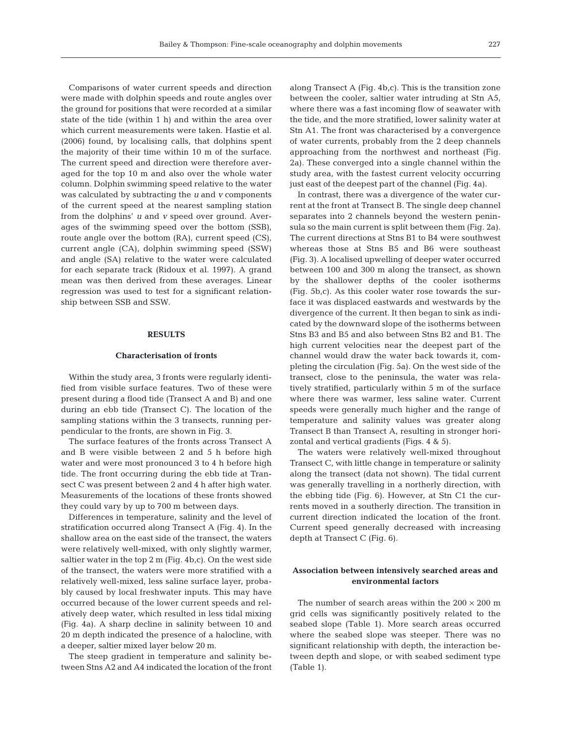Comparisons of water current speeds and direction were made with dolphin speeds and route angles over the ground for positions that were recorded at a similar state of the tide (within 1 h) and within the area over which current measurements were taken. Hastie et al. (2006) found, by localising calls, that dolphins spent the majority of their time within 10 m of the surface. The current speed and direction were therefore averaged for the top 10 m and also over the whole water column. Dolphin swimming speed relative to the water was calculated by subtracting the *u* and *v* components of the current speed at the nearest sampling station from the dolphins' *u* and *v* speed over ground. Averages of the swimming speed over the bottom (SSB), route angle over the bottom (RA), current speed (CS), current angle (CA), dolphin swimming speed (SSW) and angle (SA) relative to the water were calculated for each separate track (Ridoux et al. 1997). A grand mean was then derived from these averages. Linear regression was used to test for a significant relationship between SSB and SSW.

## **RESULTS**

## **Characterisation of fronts**

Within the study area, 3 fronts were regularly identified from visible surface features. Two of these were present during a flood tide (Transect A and B) and one during an ebb tide (Transect C). The location of the sampling stations within the 3 transects, running perpendicular to the fronts, are shown in Fig. 3.

The surface features of the fronts across Transect A and B were visible between 2 and 5 h before high water and were most pronounced 3 to 4 h before high tide. The front occurring during the ebb tide at Transect C was present between 2 and 4 h after high water. Measurements of the locations of these fronts showed they could vary by up to 700 m between days.

Differences in temperature, salinity and the level of stratification occurred along Transect A (Fig. 4). In the shallow area on the east side of the transect, the waters were relatively well-mixed, with only slightly warmer, saltier water in the top 2 m (Fig. 4b,c). On the west side of the transect, the waters were more stratified with a relatively well-mixed, less saline surface layer, probably caused by local freshwater inputs. This may have occurred because of the lower current speeds and relatively deep water, which resulted in less tidal mixing (Fig. 4a). A sharp decline in salinity between 10 and 20 m depth indicated the presence of a halocline, with a deeper, saltier mixed layer below 20 m.

The steep gradient in temperature and salinity between Stns A2 and A4 indicated the location of the front along Transect A (Fig. 4b,c). This is the transition zone between the cooler, saltier water intruding at Stn A5, where there was a fast incoming flow of seawater with the tide, and the more stratified, lower salinity water at Stn A1. The front was characterised by a convergence of water currents, probably from the 2 deep channels approaching from the northwest and northeast (Fig. 2a). These converged into a single channel within the study area, with the fastest current velocity occurring just east of the deepest part of the channel (Fig. 4a).

In contrast, there was a divergence of the water current at the front at Transect B. The single deep channel separates into 2 channels beyond the western peninsula so the main current is split between them (Fig. 2a). The current directions at Stns B1 to B4 were southwest whereas those at Stns B5 and B6 were southeast (Fig. 3). A localised upwelling of deeper water occurred between 100 and 300 m along the transect, as shown by the shallower depths of the cooler isotherms (Fig. 5b,c). As this cooler water rose towards the surface it was displaced eastwards and westwards by the divergence of the current. It then began to sink as indicated by the downward slope of the isotherms between Stns B3 and B5 and also between Stns B2 and B1. The high current velocities near the deepest part of the channel would draw the water back towards it, completing the circulation (Fig. 5a). On the west side of the transect, close to the peninsula, the water was relatively stratified, particularly within 5 m of the surface where there was warmer, less saline water. Current speeds were generally much higher and the range of temperature and salinity values was greater along Transect B than Transect A, resulting in stronger horizontal and vertical gradients (Figs. 4 & 5).

The waters were relatively well-mixed throughout Transect C, with little change in temperature or salinity along the transect (data not shown). The tidal current was generally travelling in a northerly direction, with the ebbing tide (Fig. 6). However, at Stn C1 the currents moved in a southerly direction. The transition in current direction indicated the location of the front. Current speed generally decreased with increasing depth at Transect C (Fig. 6).

## **Association between intensively searched areas and environmental factors**

The number of search areas within the  $200 \times 200$  m grid cells was significantly positively related to the seabed slope (Table 1). More search areas occurred where the seabed slope was steeper. There was no significant relationship with depth, the interaction between depth and slope, or with seabed sediment type (Table 1).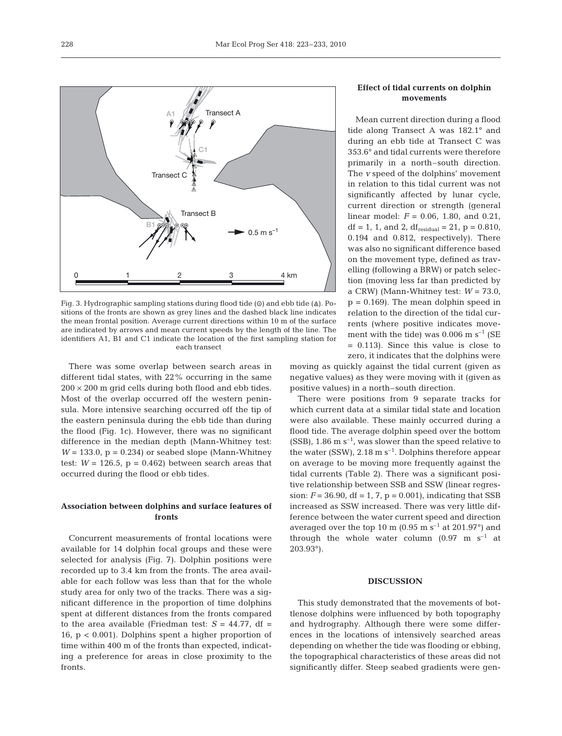

Fig. 3. Hydrographic sampling stations during flood tide ( $\odot$ ) and ebb tide ( $\triangle$ ). Positions of the fronts are shown as grey lines and the dashed black line indicates the mean frontal position. Average current directions within 10 m of the surface are indicated by arrows and mean current speeds by the length of the line. The identifiers A1, B1 and C1 indicate the location of the first sampling station for each transect

There was some overlap between search areas in different tidal states, with 22% occurring in the same  $200 \times 200$  m grid cells during both flood and ebb tides. Most of the overlap occurred off the western peninsula. More intensive searching occurred off the tip of the eastern peninsula during the ebb tide than during the flood (Fig. 1c). However, there was no significant difference in the median depth (Mann-Whitney test:  $W = 133.0$ ,  $p = 0.234$ ) or seabed slope (Mann-Whitney test:  $W = 126.5$ ,  $p = 0.462$ ) between search areas that occurred during the flood or ebb tides.

## **Association between dolphins and surface features of fronts**

Concurrent measurements of frontal locations were available for 14 dolphin focal groups and these were selected for analysis (Fig. 7). Dolphin positions were recorded up to 3.4 km from the fronts. The area available for each follow was less than that for the whole study area for only two of the tracks. There was a significant difference in the proportion of time dolphins spent at different distances from the fronts compared to the area available (Friedman test:  $S = 44.77$ , df = 16, p < 0.001). Dolphins spent a higher proportion of time within 400 m of the fronts than expected, indicating a preference for areas in close proximity to the fronts.

## **Effect of tidal currents on dolphin movements**

Mean current direction during a flood tide along Transect A was 182.1° and during an ebb tide at Transect C was 353.6° and tidal currents were therefore primarily in a north–south direction. The *v* speed of the dolphins' movement in relation to this tidal current was not significantly affected by lunar cycle, current direction or strength (general linear model: *F* = 0.06, 1.80, and 0.21, df = 1, 1, and 2,  $df_{residual} = 21$ ,  $p = 0.810$ , 0.194 and 0.812, respectively). There was also no significant difference based on the movement type, defined as travelling (following a BRW) or patch selection (moving less far than predicted by a CRW) (Mann-Whitney test:  $W = 73.0$ ,  $p = 0.169$ . The mean dolphin speed in relation to the direction of the tidal currents (where positive indicates movement with the tide) was  $0.006$  m s<sup>-1</sup> (SE = 0.113). Since this value is close to zero, it indicates that the dolphins were

moving as quickly against the tidal current (given as negative values) as they were moving with it (given as positive values) in a north–south direction.

There were positions from 9 separate tracks for which current data at a similar tidal state and location were also available. These mainly occurred during a flood tide. The average dolphin speed over the bottom  $(SSB)$ , 1.86 m s<sup>-1</sup>, was slower than the speed relative to the water (SSW),  $2.18 \text{ m s}^{-1}$ . Dolphins therefore appear on average to be moving more frequently against the tidal currents (Table 2). There was a significant positive relationship between SSB and SSW (linear regression:  $F = 36.90$ , df = 1, 7, p = 0.001), indicating that SSB increased as SSW increased. There was very little difference between the water current speed and direction averaged over the top 10 m  $(0.95 \text{ m s}^{-1}$  at 201.97°) and through the whole water column  $(0.97 \text{ m s}^{-1})$  at 203.93°).

### **DISCUSSION**

This study demonstrated that the movements of bottlenose dolphins were influenced by both topography and hydrography. Although there were some differences in the locations of intensively searched areas depending on whether the tide was flooding or ebbing, the topographical characteristics of these areas did not significantly differ. Steep seabed gradients were gen-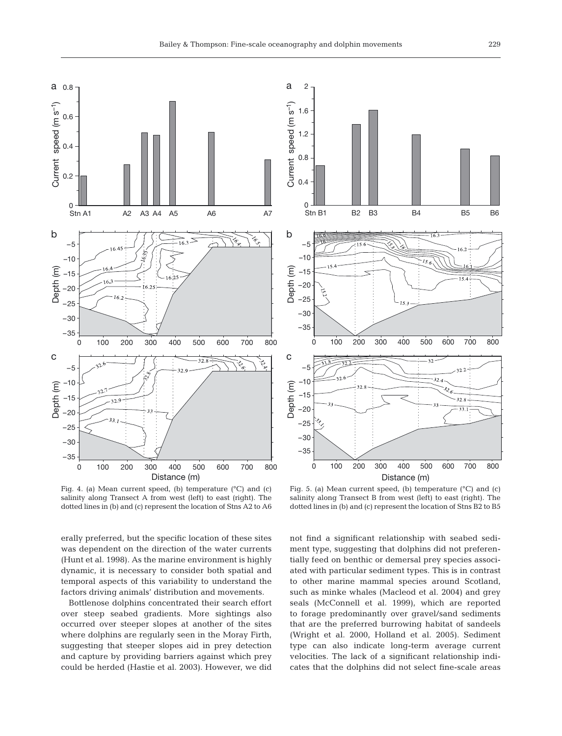a

1.6

2



Current speed (m s<sup>-1</sup>) Current speed (m s–1) 1.2 0.8 0.4 0 Stn B1 B2 B3 B4 B5 B6 b –5  $-10$ Depth (m) –15 –20 –25 –30 –35 0 100 200 300 400 500 600 700 800 c  $-32$ –5  $32.4$ –10 Depth (m) –15  $32.8$ –20 –25 –30 –35 0 100 200 300 400 500 600 700 800 Distance (m)

Fig. 4. (a) Mean current speed, (b) temperature (°C) and (c) salinity along Transect A from west (left) to east (right). The dotted lines in (b) and (c) represent the location of Stns A2 to A6

erally preferred, but the specific location of these sites was dependent on the direction of the water currents (Hunt et al. 1998). As the marine environment is highly dynamic, it is necessary to consider both spatial and temporal aspects of this variability to understand the factors driving animals' distribution and movements.

Bottlenose dolphins concentrated their search effort over steep seabed gradients. More sightings also occurred over steeper slopes at another of the sites where dolphins are regularly seen in the Moray Firth, suggesting that steeper slopes aid in prey detection and capture by providing barriers against which prey could be herded (Hastie et al. 2003). However, we did

Fig. 5. (a) Mean current speed, (b) temperature (°C) and (c) salinity along Transect B from west (left) to east (right). The dotted lines in (b) and (c) represent the location of Stns B2 to B5

not find a significant relationship with seabed sediment type, suggesting that dolphins did not preferentially feed on benthic or demersal prey species associated with particular sediment types. This is in contrast to other marine mammal species around Scotland, such as minke whales (Macleod et al. 2004) and grey seals (McConnell et al. 1999), which are reported to forage predominantly over gravel/sand sediments that are the preferred burrowing habitat of sandeels (Wright et al. 2000, Holland et al. 2005). Sediment type can also indicate long-term average current velocities. The lack of a significant relationship indicates that the dolphins did not select fine-scale areas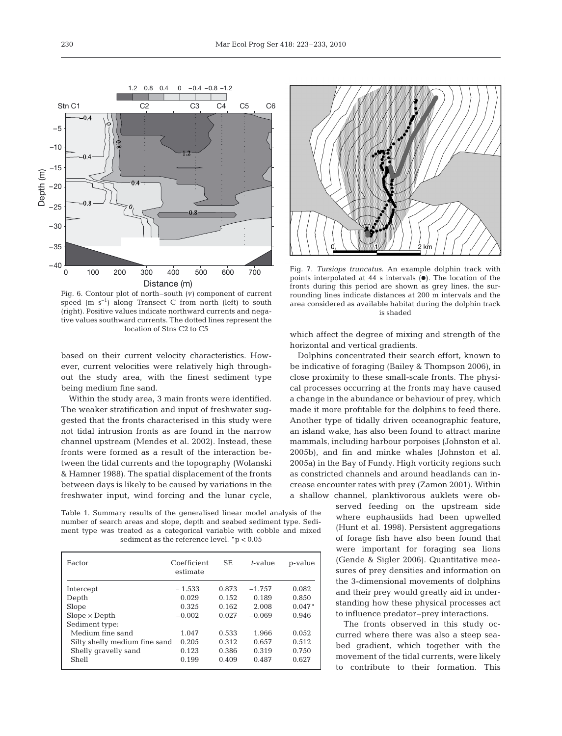1.2 0.8 0.4 0 –0.4 –0.8 –1.2 Stn C1 C2 C3 C4 C5 C6  $-0<sub>4</sub>$ –5 –10 –15 Depth (m) –20 –25 –30 –35 –40 0 100 200 300 400 500 600 700 Distance (m)

Fig. 6. Contour plot of north–south (*v)* component of current speed  $(m s<sup>-1</sup>)$  along Transect C from north (left) to south (right). Positive values indicate northward currents and negative values southward currents. The dotted lines represent the location of Stns C2 to C5

based on their current velocity characteristics. However, current velocities were relatively high throughout the study area, with the finest sediment type being medium fine sand.

Within the study area, 3 main fronts were identified. The weaker stratification and input of freshwater suggested that the fronts characterised in this study were not tidal intrusion fronts as are found in the narrow channel upstream (Mendes et al. 2002). Instead, these fronts were formed as a result of the interaction between the tidal currents and the topography (Wolanski & Hamner 1988). The spatial displacement of the fronts between days is likely to be caused by variations in the freshwater input, wind forcing and the lunar cycle,

Table 1. Summary results of the generalised linear model analysis of the number of search areas and slope, depth and seabed sediment type. Sediment type was treated as a categorical variable with cobble and mixed sediment as the reference level. \*p < 0.05

| Factor                        | Coefficient<br>estimate | <b>SE</b> | t-value  | p-value  |
|-------------------------------|-------------------------|-----------|----------|----------|
| Intercept                     | $-1.533$                | 0.873     | $-1.757$ | 0.082    |
| Depth                         | 0.029                   | 0.152     | 0.189    | 0.850    |
| Slope                         | 0.325                   | 0.162     | 2.008    | $0.047*$ |
| $Slope \times Depth$          | $-0.002$                | 0.027     | $-0.069$ | 0.946    |
| Sediment type:                |                         |           |          |          |
| Medium fine sand              | 1.047                   | 0.533     | 1.966    | 0.052    |
| Silty shelly medium fine sand | 0.205                   | 0.312     | 0.657    | 0.512    |
| Shelly gravelly sand          | 0.123                   | 0.386     | 0.319    | 0.750    |
| Shell                         | 0.199                   | 0.409     | 0.487    | 0.627    |



Fig. 7. *Tursiops truncatus*. An example dolphin track with points interpolated at 44 s intervals  $(\bullet)$ . The location of the fronts during this period are shown as grey lines, the surrounding lines indicate distances at 200 m intervals and the area considered as available habitat during the dolphin track is shaded

which affect the degree of mixing and strength of the horizontal and vertical gradients.

Dolphins concentrated their search effort, known to be indicative of foraging (Bailey & Thompson 2006), in close proximity to these small-scale fronts. The physical processes occurring at the fronts may have caused a change in the abundance or behaviour of prey, which made it more profitable for the dolphins to feed there. Another type of tidally driven oceanographic feature, an island wake, has also been found to attract marine mammals, including harbour porpoises (Johnston et al. 2005b), and fin and minke whales (Johnston et al. 2005a) in the Bay of Fundy. High vorticity regions such as constricted channels and around headlands can increase encounter rates with prey (Zamon 2001). Within a shallow channel, planktivorous auklets were ob-

served feeding on the upstream side where euphausiids had been upwelled (Hunt et al. 1998). Persistent aggregations of forage fish have also been found that were important for foraging sea lions (Gende & Sigler 2006). Quantitative measures of prey densities and information on the 3-dimensional movements of dolphins and their prey would greatly aid in understanding how these physical processes act to influence predator–prey interactions.

The fronts observed in this study occurred where there was also a steep seabed gradient, which together with the movement of the tidal currents, were likely to contribute to their formation. This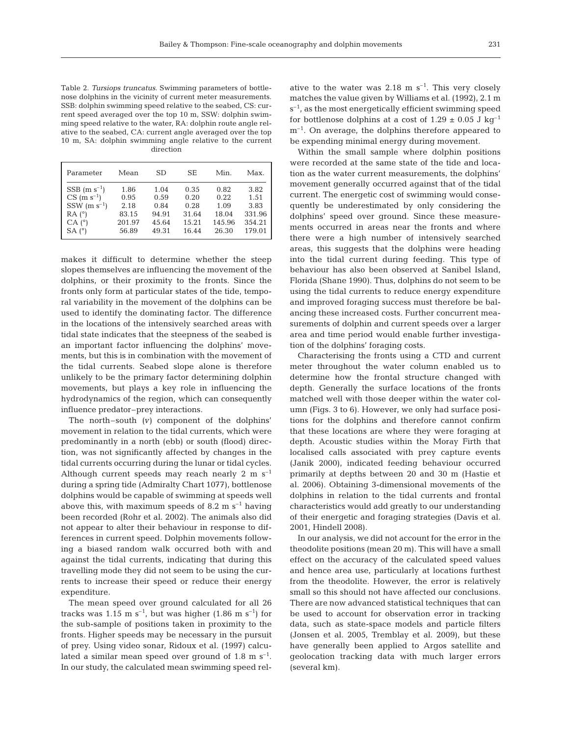Table 2. *Tursiops truncatus*. Swimming parameters of bottlenose dolphins in the vicinity of current meter measurements. SSB: dolphin swimming speed relative to the seabed, CS: current speed averaged over the top 10 m, SSW: dolphin swimming speed relative to the water, RA: dolphin route angle relative to the seabed, CA: current angle averaged over the top 10 m, SA: dolphin swimming angle relative to the current direction

| Parameter                                                                                                          | Mean                                    | SD.                                    | <b>SE</b>                              | Min.                                    | Max.                                     |
|--------------------------------------------------------------------------------------------------------------------|-----------------------------------------|----------------------------------------|----------------------------------------|-----------------------------------------|------------------------------------------|
| $SSB$ (m s <sup>-1</sup> )<br>$CS$ (m s <sup>-1</sup> )<br>$SSW$ (m $s^{-1}$ )<br>$RA(^{\circ})$<br>$CA(^{\circ})$ | 1.86<br>0.95<br>2.18<br>83.15<br>201.97 | 1.04<br>0.59<br>0.84<br>94.91<br>45.64 | 0.35<br>0.20<br>0.28<br>31.64<br>15.21 | 0.82<br>0.22<br>1.09<br>18.04<br>145.96 | 3.82<br>1.51<br>3.83<br>331.96<br>354.21 |
| $SA(^{\circ})$                                                                                                     | 56.89                                   | 49.31                                  | 16.44                                  | 26.30                                   | 179.01                                   |

makes it difficult to determine whether the steep slopes themselves are influencing the movement of the dolphins, or their proximity to the fronts. Since the fronts only form at particular states of the tide, temporal variability in the movement of the dolphins can be used to identify the dominating factor. The difference in the locations of the intensively searched areas with tidal state indicates that the steepness of the seabed is an important factor influencing the dolphins' movements, but this is in combination with the movement of the tidal currents. Seabed slope alone is therefore unlikely to be the primary factor determining dolphin movements, but plays a key role in influencing the hydrodynamics of the region, which can consequently influence predator–prey interactions.

The north–south *(v)* component of the dolphins' movement in relation to the tidal currents, which were predominantly in a north (ebb) or south (flood) direction, was not significantly affected by changes in the tidal currents occurring during the lunar or tidal cycles. Although current speeds may reach nearly 2 m  $s^{-1}$ during a spring tide (Admiralty Chart 1077), bottlenose dolphins would be capable of swimming at speeds well above this, with maximum speeds of 8.2 m  $s^{-1}$  having been recorded (Rohr et al. 2002). The animals also did not appear to alter their behaviour in response to differences in current speed. Dolphin movements following a biased random walk occurred both with and against the tidal currents, indicating that during this travelling mode they did not seem to be using the currents to increase their speed or reduce their energy expenditure.

The mean speed over ground calculated for all 26 tracks was 1.15 m s<sup>-1</sup>, but was higher (1.86 m s<sup>-1</sup>) for the sub-sample of positions taken in proximity to the fronts. Higher speeds may be necessary in the pursuit of prey. Using video sonar, Ridoux et al. (1997) calculated a similar mean speed over ground of  $1.8 \text{ m s}^{-1}$ . In our study, the calculated mean swimming speed relative to the water was  $2.18 \text{ m s}^{-1}$ . This very closely matches the value given by Williams et al. (1992), 2.1 m  $s^{-1}$ , as the most energetically efficient swimming speed for bottlenose dolphins at a cost of  $1.29 \pm 0.05$  J kg<sup>-1</sup>  $m^{-1}$ . On average, the dolphins therefore appeared to be expending minimal energy during movement.

Within the small sample where dolphin positions were recorded at the same state of the tide and location as the water current measurements, the dolphins' movement generally occurred against that of the tidal current. The energetic cost of swimming would consequently be underestimated by only considering the dolphins' speed over ground. Since these measurements occurred in areas near the fronts and where there were a high number of intensively searched areas, this suggests that the dolphins were heading into the tidal current during feeding. This type of behaviour has also been observed at Sanibel Island, Florida (Shane 1990). Thus, dolphins do not seem to be using the tidal currents to reduce energy expenditure and improved foraging success must therefore be balancing these increased costs. Further concurrent measurements of dolphin and current speeds over a larger area and time period would enable further investigation of the dolphins' foraging costs.

Characterising the fronts using a CTD and current meter throughout the water column enabled us to determine how the frontal structure changed with depth. Generally the surface locations of the fronts matched well with those deeper within the water column (Figs. 3 to 6). However, we only had surface positions for the dolphins and therefore cannot confirm that these locations are where they were foraging at depth. Acoustic studies within the Moray Firth that localised calls associated with prey capture events (Janik 2000), indicated feeding behaviour occurred primarily at depths between 20 and 30 m (Hastie et al. 2006). Obtaining 3-dimensional movements of the dolphins in relation to the tidal currents and frontal characteristics would add greatly to our understanding of their energetic and foraging strategies (Davis et al. 2001, Hindell 2008).

In our analysis, we did not account for the error in the theodolite positions (mean 20 m). This will have a small effect on the accuracy of the calculated speed values and hence area use, particularly at locations furthest from the theodolite. However, the error is relatively small so this should not have affected our conclusions. There are now advanced statistical techniques that can be used to account for observation error in tracking data, such as state-space models and particle filters (Jonsen et al. 2005, Tremblay et al. 2009), but these have generally been applied to Argos satellite and geolocation tracking data with much larger errors (several km).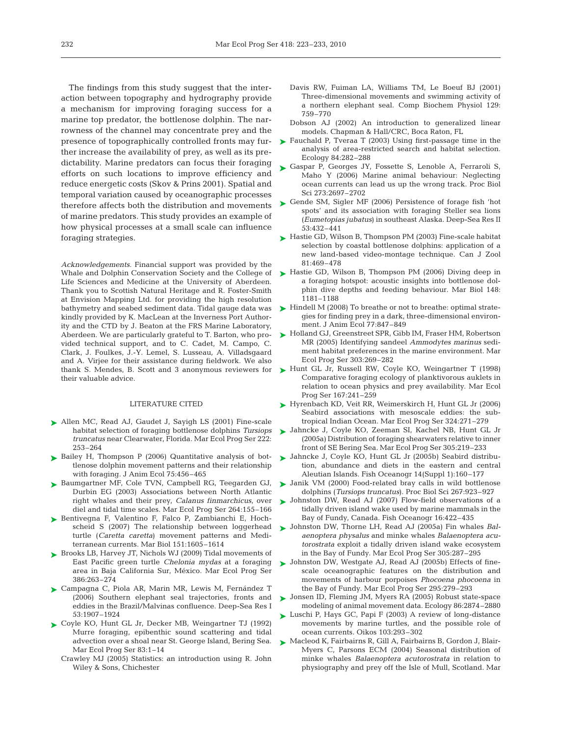The findings from this study suggest that the interaction between topography and hydrography provide a mechanism for improving foraging success for a marine top predator, the bottlenose dolphin. The narrowness of the channel may concentrate prey and the presence of topographically controlled fronts may further increase the availability of prey, as well as its predictability. Marine predators can focus their foraging efforts on such locations to improve efficiency and reduce energetic costs (Skov & Prins 2001). Spatial and temporal variation caused by oceanographic processes therefore affects both the distribution and movements of marine predators. This study provides an example of how physical processes at a small scale can influence foraging strategies.

*Acknowledgements.* Financial support was provided by the Whale and Dolphin Conservation Society and the College of Life Sciences and Medicine at the University of Aberdeen. Thank you to Scottish Natural Heritage and R. Foster-Smith at Envision Mapping Ltd. for providing the high resolution bathymetry and seabed sediment data. Tidal gauge data was kindly provided by K. MacLean at the Inverness Port Authority and the CTD by J. Beaton at the FRS Marine Laboratory, Aberdeen. We are particularly grateful to T. Barton, who provided technical support, and to C. Cadet, M. Campo, C. Clark, J. Foulkes, J.-Y. Lemel, S. Lusseau, A. Villadsgaard and A. Virjee for their assistance during fieldwork. We also their valuable advice.

#### LITERATURE CITED

- ▶ Allen MC, Read AJ, Gaudet J, Sayigh LS (2001) Fine-scale habitat selection of foraging bottlenose dolphins *Tursiops truncatus* near Clearwater, Florida. Mar Ecol Prog Ser 222: 253–264
- ▶ Bailey H, Thompson P (2006) Quantitative analysis of bottlenose dolphin movement patterns and their relationship with foraging. J Anim Ecol 75:456–465
- ► Baumgartner MF, Cole TVN, Campbell RG, Teegarden GJ, Durbin EG (2003) Associations between North Atlantic right whales and their prey, *Calanus finmarchicus*, over diel and tidal time scales. Mar Ecol Prog Ser 264:155–166
- ▶ Bentivegna F, Valentino F, Falco P, Zambianchi E, Hochscheid S (2007) The relationship between loggerhead turtle (*Caretta caretta*) movement patterns and Mediterranean currents. Mar Biol 151:1605–1614
- ▶ Brooks LB, Harvey JT, Nichols WJ (2009) Tidal movements of East Pacific green turtle *Chelonia mydas* at a foraging area in Baja California Sur, México. Mar Ecol Prog Ser 386:263–274
- Campagna C, Piola AR, Marin MR, Lewis M, Fernández T ➤ (2006) Southern elephant seal trajectories, fronts and eddies in the Brazil/Malvinas confluence. Deep-Sea Res I 53:1907–1924
- Coyle KO, Hunt GL Jr, Decker MB, Weingartner TJ (1992) ➤ Murre foraging, epibenthic sound scattering and tidal advection over a shoal near St. George Island, Bering Sea. Mar Ecol Prog Ser 83:1–14
	- Crawley MJ (2005) Statistics: an introduction using R. John Wiley & Sons, Chichester
- Davis RW, Fuiman LA, Williams TM, Le Boeuf BJ (2001) Three-dimensional movements and swimming activity of a northern elephant seal. Comp Biochem Physiol 129: 759–770
- Dobson AJ (2002) An introduction to generalized linear models. Chapman & Hall/CRC, Boca Raton, FL
- ► Fauchald P, Tveraa T (2003) Using first-passage time in the analysis of area-restricted search and habitat selection. Ecology 84:282–288
- ► Gaspar P, Georges JY, Fossette S, Lenoble A, Ferraroli S, Maho Y (2006) Marine animal behaviour: Neglecting ocean currents can lead us up the wrong track. Proc Biol Sci 273:2697–2702
- ► Gende SM, Sigler MF (2006) Persistence of forage fish 'hot spots' and its association with foraging Steller sea lions (*Eumetopias jubatus*) in southeast Alaska. Deep-Sea Res II 53:432–441
- ► Hastie GD, Wilson B, Thompson PM (2003) Fine-scale habitat selection by coastal bottlenose dolphins: application of a new land-based video-montage technique. Can J Zool 81:469–478
- ► Hastie GD, Wilson B, Thompson PM (2006) Diving deep in a foraging hotspot: acoustic insights into bottlenose dolphin dive depths and feeding behaviour. Mar Biol 148: 1181–1188
- ► Hindell M (2008) To breathe or not to breathe: optimal strategies for finding prey in a dark, three-dimensional environment. J Anim Ecol 77:847–849
- ► Holland GJ, Greenstreet SPR, Gibb IM, Fraser HM, Robertson MR (2005) Identifying sandeel *Ammodytes marinus* sediment habitat preferences in the marine environment. Mar Ecol Prog Ser 303:269–282
- thank S. Mendes, B. Scott and 3 anonymous reviewers for Hunt GL Jr, Russell RW, Coyle KO, Weingartner T (1998) ➤ Comparative foraging ecology of planktivorous auklets in relation to ocean physics and prey availability. Mar Ecol Prog Ser 167:241–259
	- ► Hyrenbach KD, Veit RR, Weimerskirch H, Hunt GL Jr (2006) Seabird associations with mesoscale eddies: the subtropical Indian Ocean. Mar Ecol Prog Ser 324:271–279
	- Jahncke J, Coyle KO, Zeeman SI, Kachel NB, Hunt GL Jr ➤ (2005a) Distribution of foraging shearwaters relative to inner front of SE Bering Sea. Mar Ecol Prog Ser 305:219–233
	- ▶ Jahncke J, Coyle KO, Hunt GL Jr (2005b) Seabird distribution, abundance and diets in the eastern and central Aleutian Islands. Fish Oceanogr 14(Suppl 1):160–177
	- ▶ Janik VM (2000) Food-related bray calls in wild bottlenose dolphins (*Tursiops truncatus*). Proc Biol Sci 267:923–927
	- ▶ Johnston DW, Read AJ (2007) Flow-field observations of a tidally driven island wake used by marine mammals in the Bay of Fundy, Canada. Fish Oceanogr 16:422–435
	- Johnston DW, Thorne LH, Read AJ (2005a) Fin whales *Bal-*➤ *aenoptera physalus* and minke whales *Balaenoptera acutorostrata* exploit a tidally driven island wake ecosystem in the Bay of Fundy. Mar Ecol Prog Ser 305:287–295
	- ▶ Johnston DW, Westgate AJ, Read AJ (2005b) Effects of finescale oceanographic features on the distribution and movements of harbour porpoises *Phocoena phocoena* in the Bay of Fundy. Mar Ecol Prog Ser 295:279–293
	- ► Jonsen ID, Fleming JM, Myers RA (2005) Robust state-space modeling of animal movement data. Ecology 86:2874–2880
	- ► Luschi P, Hays GC, Papi F (2003) A review of long-distance movements by marine turtles, and the possible role of ocean currents. Oikos 103:293–302
	- Macleod K, Fairbairns R, Gill A, Fairbairns B, Gordon J, Blair-➤Myers C, Parsons ECM (2004) Seasonal distribution of minke whales *Balaenoptera acutorostrata* in relation to physiography and prey off the Isle of Mull, Scotland. Mar